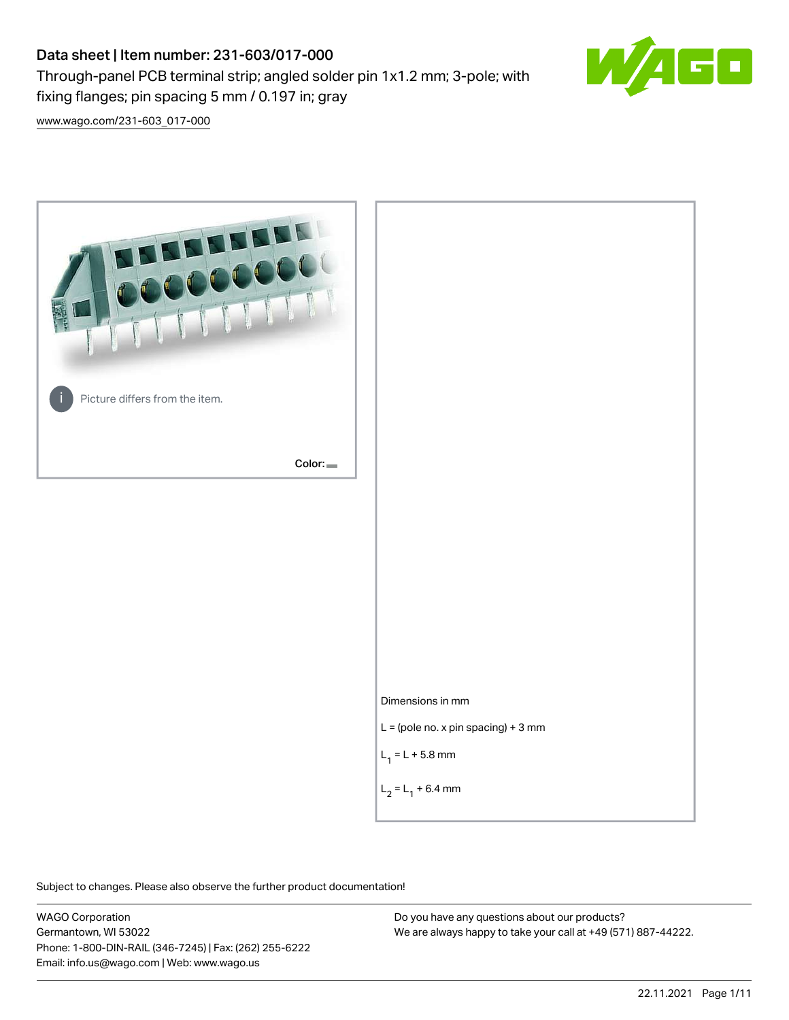# Data sheet | Item number: 231-603/017-000

fixing flanges; pin spacing 5 mm / 0.197 in; gray

Through-panel PCB terminal strip; angled solder pin 1x1.2 mm; 3-pole; with



[www.wago.com/231-603\\_017-000](http://www.wago.com/231-603_017-000)



Subject to changes. Please also observe the further product documentation!

WAGO Corporation Germantown, WI 53022 Phone: 1-800-DIN-RAIL (346-7245) | Fax: (262) 255-6222 Email: info.us@wago.com | Web: www.wago.us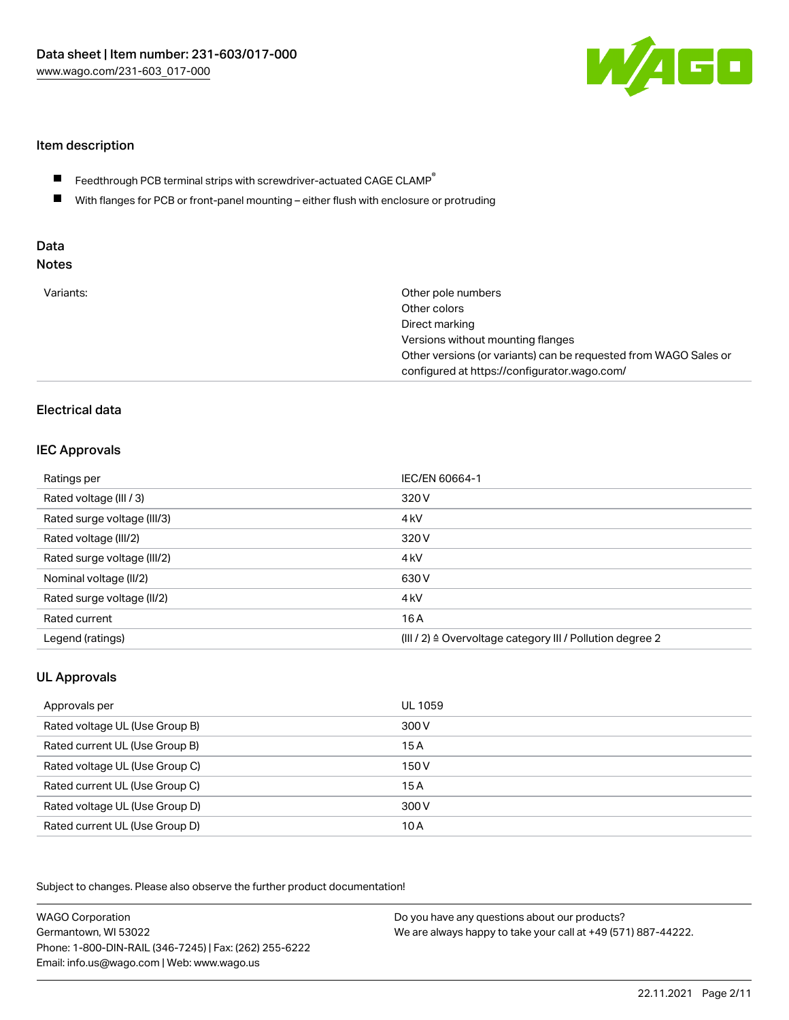

### Item description

- Feedthrough PCB terminal strips with screwdriver-actuated CAGE CLAMP $^\circ$  $\blacksquare$
- $\blacksquare$ With flanges for PCB or front-panel mounting – either flush with enclosure or protruding

# Data

| Variants: | Other pole numbers<br>Other colors<br>Direct marking<br>Versions without mounting flanges<br>Other versions (or variants) can be requested from WAGO Sales or<br>configured at https://configurator.wago.com/ |
|-----------|---------------------------------------------------------------------------------------------------------------------------------------------------------------------------------------------------------------|
|           |                                                                                                                                                                                                               |

# Electrical data

#### IEC Approvals

| Ratings per                 | IEC/EN 60664-1                                                        |
|-----------------------------|-----------------------------------------------------------------------|
| Rated voltage (III / 3)     | 320 V                                                                 |
| Rated surge voltage (III/3) | 4 <sub>kV</sub>                                                       |
| Rated voltage (III/2)       | 320 V                                                                 |
| Rated surge voltage (III/2) | 4 <sub>kV</sub>                                                       |
| Nominal voltage (II/2)      | 630 V                                                                 |
| Rated surge voltage (II/2)  | 4 <sub>k</sub> V                                                      |
| Rated current               | 16A                                                                   |
| Legend (ratings)            | $(III / 2)$ $\triangle$ Overvoltage category III / Pollution degree 2 |

### UL Approvals

| Approvals per                  | UL 1059 |
|--------------------------------|---------|
| Rated voltage UL (Use Group B) | 300 V   |
| Rated current UL (Use Group B) | 15 A    |
| Rated voltage UL (Use Group C) | 150 V   |
| Rated current UL (Use Group C) | 15A     |
| Rated voltage UL (Use Group D) | 300 V   |
| Rated current UL (Use Group D) | 10 A    |

Subject to changes. Please also observe the further product documentation!

| <b>WAGO Corporation</b>                                | Do you have any questions about our products?                 |
|--------------------------------------------------------|---------------------------------------------------------------|
| Germantown, WI 53022                                   | We are always happy to take your call at +49 (571) 887-44222. |
| Phone: 1-800-DIN-RAIL (346-7245)   Fax: (262) 255-6222 |                                                               |
| Email: info.us@wago.com   Web: www.wago.us             |                                                               |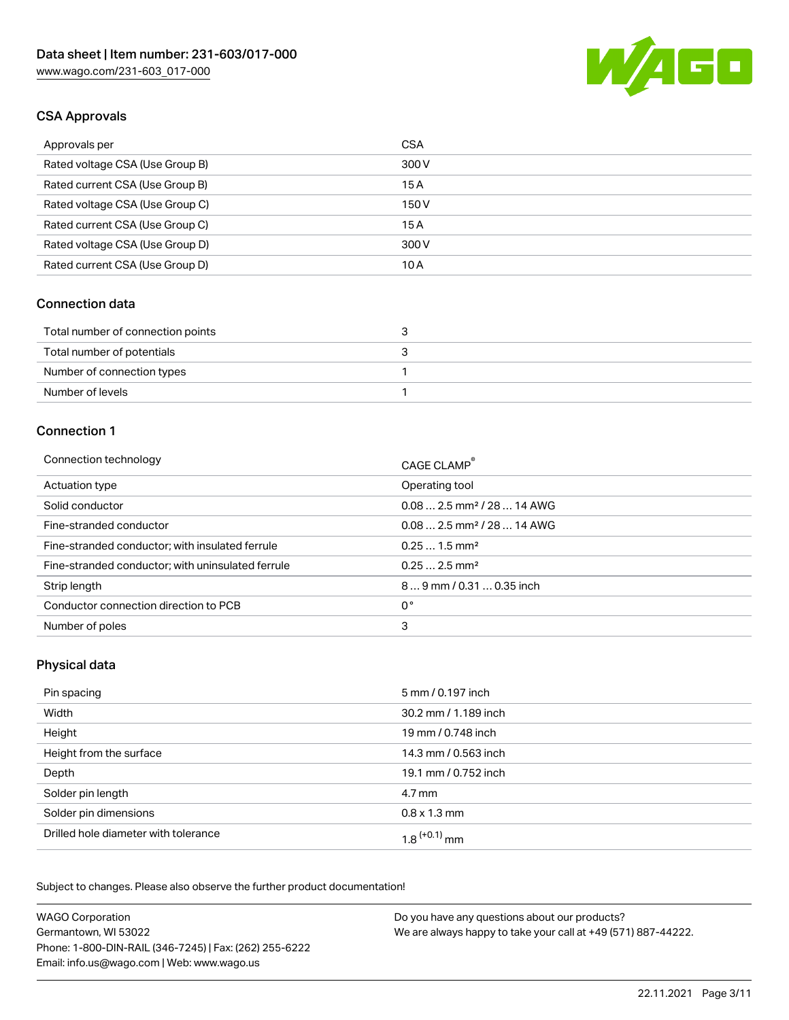

## CSA Approvals

| Approvals per                   | <b>CSA</b> |
|---------------------------------|------------|
| Rated voltage CSA (Use Group B) | 300 V      |
| Rated current CSA (Use Group B) | 15A        |
| Rated voltage CSA (Use Group C) | 150 V      |
| Rated current CSA (Use Group C) | 15A        |
| Rated voltage CSA (Use Group D) | 300 V      |
| Rated current CSA (Use Group D) | 10 A       |

#### Connection data

| Total number of connection points | ⊾ |
|-----------------------------------|---|
| Total number of potentials        |   |
| Number of connection types        |   |
| Number of levels                  |   |

#### Connection 1

| Connection technology                             | CAGE CLAMP <sup>®</sup>                 |
|---------------------------------------------------|-----------------------------------------|
| Actuation type                                    | Operating tool                          |
| Solid conductor                                   | $0.08$ 2.5 mm <sup>2</sup> / 28  14 AWG |
| Fine-stranded conductor                           | $0.08$ 2.5 mm <sup>2</sup> / 28  14 AWG |
| Fine-stranded conductor; with insulated ferrule   | $0.251.5$ mm <sup>2</sup>               |
| Fine-stranded conductor; with uninsulated ferrule | $0.252.5$ mm <sup>2</sup>               |
| Strip length                                      | 89 mm / 0.31  0.35 inch                 |
| Conductor connection direction to PCB             | 0°                                      |
| Number of poles                                   | 3                                       |
|                                                   |                                         |

#### Physical data

| Pin spacing                          | 5 mm / 0.197 inch    |
|--------------------------------------|----------------------|
| Width                                | 30.2 mm / 1.189 inch |
| Height                               | 19 mm / 0.748 inch   |
| Height from the surface              | 14.3 mm / 0.563 inch |
| Depth                                | 19.1 mm / 0.752 inch |
| Solder pin length                    | 4.7 mm               |
| Solder pin dimensions                | $0.8 \times 1.3$ mm  |
| Drilled hole diameter with tolerance | $1.8$ $(+0.1)$ mm    |

Subject to changes. Please also observe the further product documentation! Mechanical data

| <b>WAGO Corporation</b>                                | Do you have any questions about our products?                 |
|--------------------------------------------------------|---------------------------------------------------------------|
| Germantown, WI 53022                                   | We are always happy to take your call at +49 (571) 887-44222. |
| Phone: 1-800-DIN-RAIL (346-7245)   Fax: (262) 255-6222 |                                                               |
| Email: info.us@wago.com   Web: www.wago.us             |                                                               |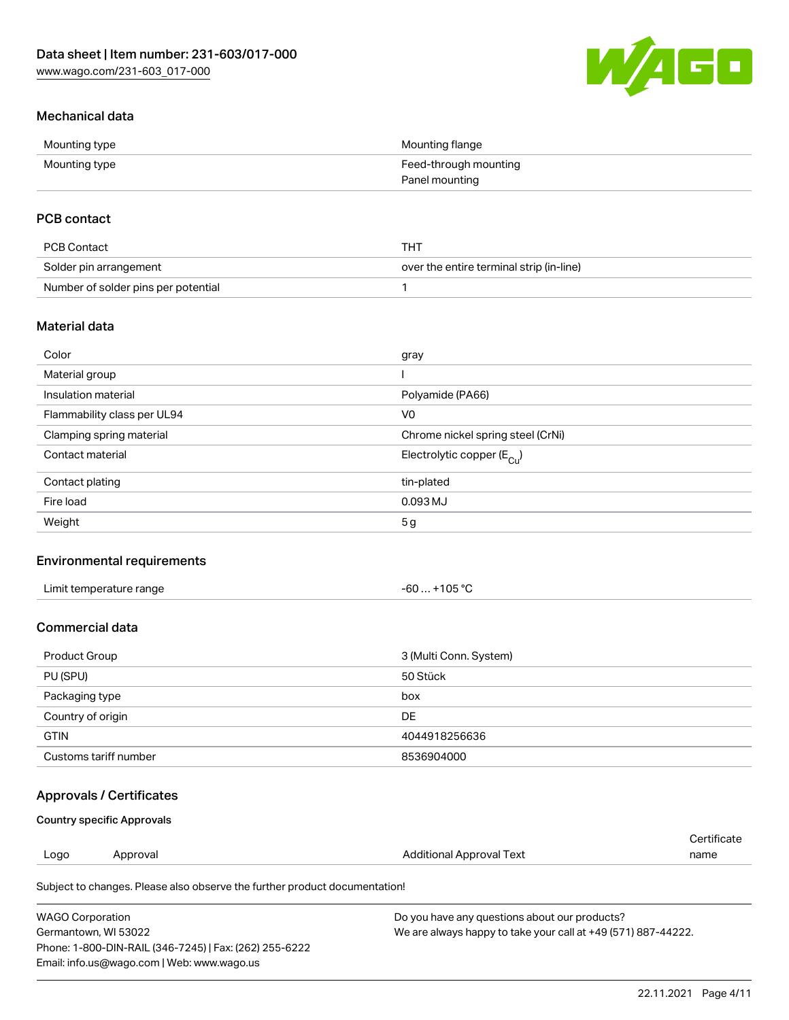

## Mechanical data

| Mounting type | Mounting flange       |
|---------------|-----------------------|
| Mounting type | Feed-through mounting |
|               | Panel mounting        |

## PCB contact

| PCB Contact                         | THT                                      |
|-------------------------------------|------------------------------------------|
| Solder pin arrangement              | over the entire terminal strip (in-line) |
| Number of solder pins per potential |                                          |

### Material data

| Color                       | gray                                  |
|-----------------------------|---------------------------------------|
| Material group              |                                       |
| Insulation material         | Polyamide (PA66)                      |
| Flammability class per UL94 | V <sub>0</sub>                        |
| Clamping spring material    | Chrome nickel spring steel (CrNi)     |
| Contact material            | Electrolytic copper $(E_{\text{Cl}})$ |
| Contact plating             | tin-plated                            |
| Fire load                   | $0.093$ MJ                            |
| Weight                      | 5 <sub>g</sub>                        |

### Environmental requirements

| Limit temperature range<br>. | +105 °C<br>- 60…∴ |  |
|------------------------------|-------------------|--|
|------------------------------|-------------------|--|

#### Commercial data

| Product Group         | 3 (Multi Conn. System) |
|-----------------------|------------------------|
| PU (SPU)              | 50 Stück               |
| Packaging type        | box                    |
| Country of origin     | DE                     |
| <b>GTIN</b>           | 4044918256636          |
| Customs tariff number | 8536904000             |

## Approvals / Certificates

#### Country specific Approvals

|      |          |                          | Certificate |
|------|----------|--------------------------|-------------|
| Logo | Approval | Additional Approval Text | name        |
|      |          |                          |             |

Subject to changes. Please also observe the further product documentation!

| WAGO Corporation                                       | Do you have any questions about our products?                 |
|--------------------------------------------------------|---------------------------------------------------------------|
| Germantown. WI 53022                                   | We are always happy to take your call at +49 (571) 887-44222. |
| Phone: 1-800-DIN-RAIL (346-7245)   Fax: (262) 255-6222 |                                                               |
| Email: info.us@wago.com   Web: www.wago.us             |                                                               |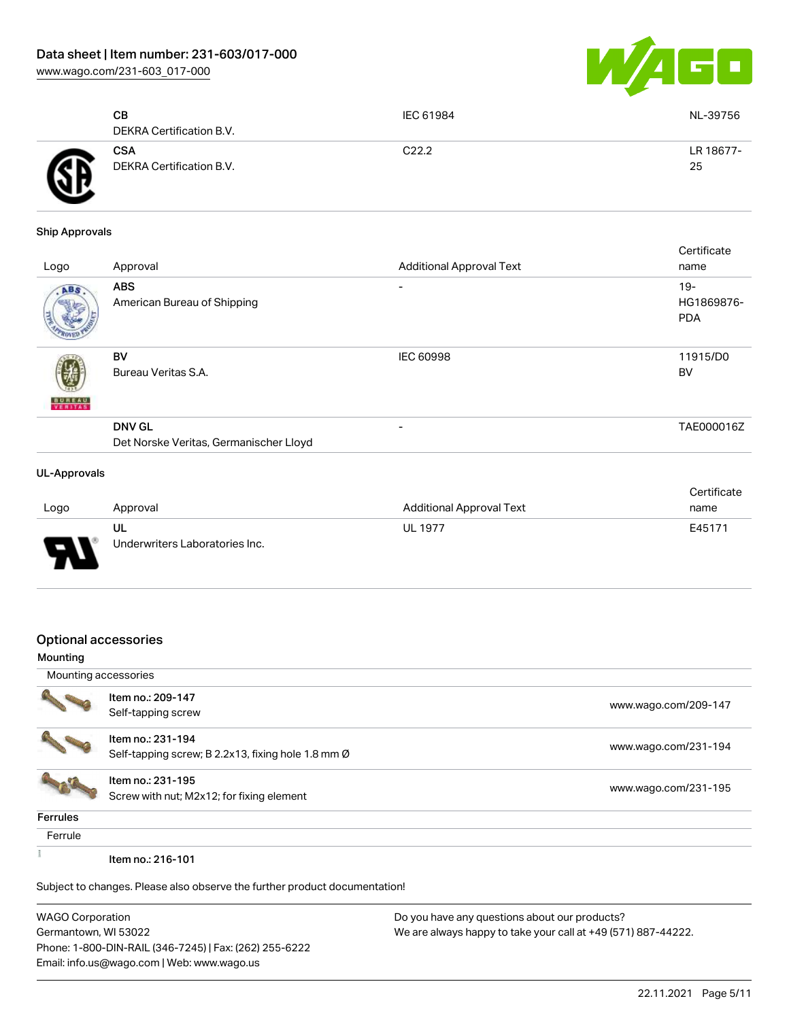[www.wago.com/231-603\\_017-000](http://www.wago.com/231-603_017-000)



|   | CВ<br>DEKRA Certification B.V.         | IEC 61984 | NL-39756        |
|---|----------------------------------------|-----------|-----------------|
| A | <b>CSA</b><br>DEKRA Certification B.V. | C22.2     | LR 18677-<br>25 |

#### Ship Approvals

| Logo                     | Approval                                                | <b>Additional Approval Text</b> | Certificate<br>name                |
|--------------------------|---------------------------------------------------------|---------------------------------|------------------------------------|
| ABS                      | <b>ABS</b><br>American Bureau of Shipping               | $\overline{\phantom{0}}$        | $19 -$<br>HG1869876-<br><b>PDA</b> |
| <b>BUREAU</b><br>VERITAS | BV<br>Bureau Veritas S.A.                               | <b>IEC 60998</b>                | 11915/D0<br>BV                     |
|                          | <b>DNV GL</b><br>Det Norske Veritas, Germanischer Lloyd | $\overline{\phantom{a}}$        | TAE000016Z                         |
| <b>UL-Approvals</b>      |                                                         |                                 |                                    |

#### Logo Approval Approval Approval Approval Approval Text **Certificate** name UL Underwriters Laboratories Inc. UL 1977 E45171

#### Optional accessories

| Mounting             |                                                                            |                      |
|----------------------|----------------------------------------------------------------------------|----------------------|
| Mounting accessories |                                                                            |                      |
|                      | Item no.: 209-147                                                          | www.wago.com/209-147 |
|                      | Self-tapping screw                                                         |                      |
|                      | Item no.: 231-194                                                          |                      |
|                      | Self-tapping screw; B 2.2x13, fixing hole 1.8 mm Ø                         | www.wago.com/231-194 |
|                      | Item no.: 231-195                                                          |                      |
|                      | Screw with nut; M2x12; for fixing element                                  | www.wago.com/231-195 |
| <b>Ferrules</b>      |                                                                            |                      |
| Ferrule              |                                                                            |                      |
|                      | Item no.: 216-101                                                          |                      |
|                      | Subject to changes. Please also observe the further product documentation! |                      |
|                      |                                                                            |                      |

| <b>WAGO Corporation</b>                                |
|--------------------------------------------------------|
| Germantown, WI 53022                                   |
| Phone: 1-800-DIN-RAIL (346-7245)   Fax: (262) 255-6222 |
| Email: info.us@wago.com   Web: www.wago.us             |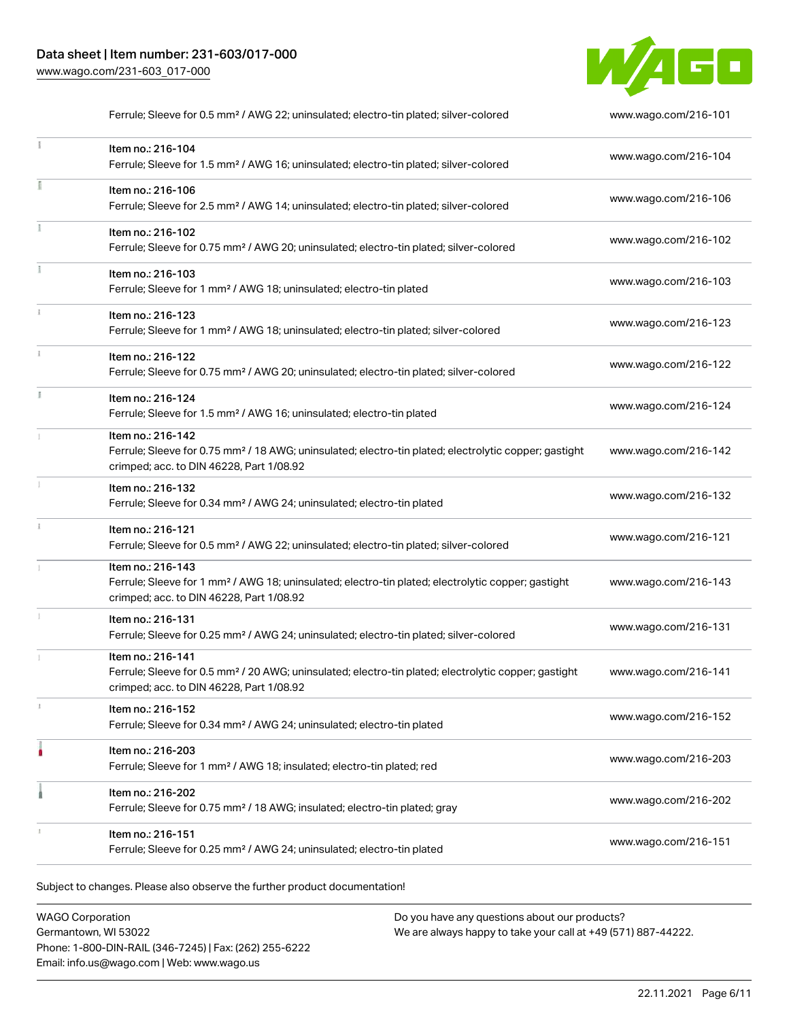

|    | Ferrule; Sleeve for 0.5 mm <sup>2</sup> / AWG 22; uninsulated; electro-tin plated; silver-colored                                                                                  | www.wago.com/216-101 |
|----|------------------------------------------------------------------------------------------------------------------------------------------------------------------------------------|----------------------|
|    | Item no.: 216-104<br>Ferrule; Sleeve for 1.5 mm <sup>2</sup> / AWG 16; uninsulated; electro-tin plated; silver-colored                                                             | www.wago.com/216-104 |
|    | Item no.: 216-106<br>Ferrule; Sleeve for 2.5 mm <sup>2</sup> / AWG 14; uninsulated; electro-tin plated; silver-colored                                                             | www.wago.com/216-106 |
|    | Item no.: 216-102<br>Ferrule; Sleeve for 0.75 mm <sup>2</sup> / AWG 20; uninsulated; electro-tin plated; silver-colored                                                            | www.wago.com/216-102 |
|    | Item no.: 216-103<br>Ferrule; Sleeve for 1 mm <sup>2</sup> / AWG 18; uninsulated; electro-tin plated                                                                               | www.wago.com/216-103 |
|    | Item no.: 216-123<br>Ferrule; Sleeve for 1 mm <sup>2</sup> / AWG 18; uninsulated; electro-tin plated; silver-colored                                                               | www.wago.com/216-123 |
| ī. | Item no.: 216-122<br>Ferrule; Sleeve for 0.75 mm <sup>2</sup> / AWG 20; uninsulated; electro-tin plated; silver-colored                                                            | www.wago.com/216-122 |
|    | Item no.: 216-124<br>Ferrule; Sleeve for 1.5 mm <sup>2</sup> / AWG 16; uninsulated; electro-tin plated                                                                             | www.wago.com/216-124 |
|    | Item no.: 216-142<br>Ferrule; Sleeve for 0.75 mm <sup>2</sup> / 18 AWG; uninsulated; electro-tin plated; electrolytic copper; gastight<br>crimped; acc. to DIN 46228, Part 1/08.92 | www.wago.com/216-142 |
|    | Item no.: 216-132<br>Ferrule; Sleeve for 0.34 mm <sup>2</sup> / AWG 24; uninsulated; electro-tin plated                                                                            | www.wago.com/216-132 |
|    | Item no.: 216-121<br>Ferrule; Sleeve for 0.5 mm <sup>2</sup> / AWG 22; uninsulated; electro-tin plated; silver-colored                                                             | www.wago.com/216-121 |
|    | Item no.: 216-143<br>Ferrule; Sleeve for 1 mm <sup>2</sup> / AWG 18; uninsulated; electro-tin plated; electrolytic copper; gastight<br>crimped; acc. to DIN 46228, Part 1/08.92    | www.wago.com/216-143 |
| I. | Item no.: 216-131<br>Ferrule; Sleeve for 0.25 mm <sup>2</sup> / AWG 24; uninsulated; electro-tin plated; silver-colored                                                            | www.wago.com/216-131 |
|    | Item no.: 216-141<br>Ferrule; Sleeve for 0.5 mm <sup>2</sup> / 20 AWG; uninsulated; electro-tin plated; electrolytic copper; gastight<br>crimped; acc. to DIN 46228, Part 1/08.92  | www.wago.com/216-141 |
|    | Item no.: 216-152<br>Ferrule; Sleeve for 0.34 mm <sup>2</sup> / AWG 24; uninsulated; electro-tin plated                                                                            | www.wago.com/216-152 |
|    | Item no.: 216-203<br>Ferrule; Sleeve for 1 mm <sup>2</sup> / AWG 18; insulated; electro-tin plated; red                                                                            | www.wago.com/216-203 |
|    | Item no.: 216-202<br>Ferrule; Sleeve for 0.75 mm <sup>2</sup> / 18 AWG; insulated; electro-tin plated; gray                                                                        | www.wago.com/216-202 |
|    | Item no.: 216-151<br>Ferrule; Sleeve for 0.25 mm <sup>2</sup> / AWG 24; uninsulated; electro-tin plated                                                                            | www.wago.com/216-151 |

Subject to changes. Please also observe the further product documentation!

WAGO Corporation Germantown, WI 53022 Phone: 1-800-DIN-RAIL (346-7245) | Fax: (262) 255-6222 Email: info.us@wago.com | Web: www.wago.us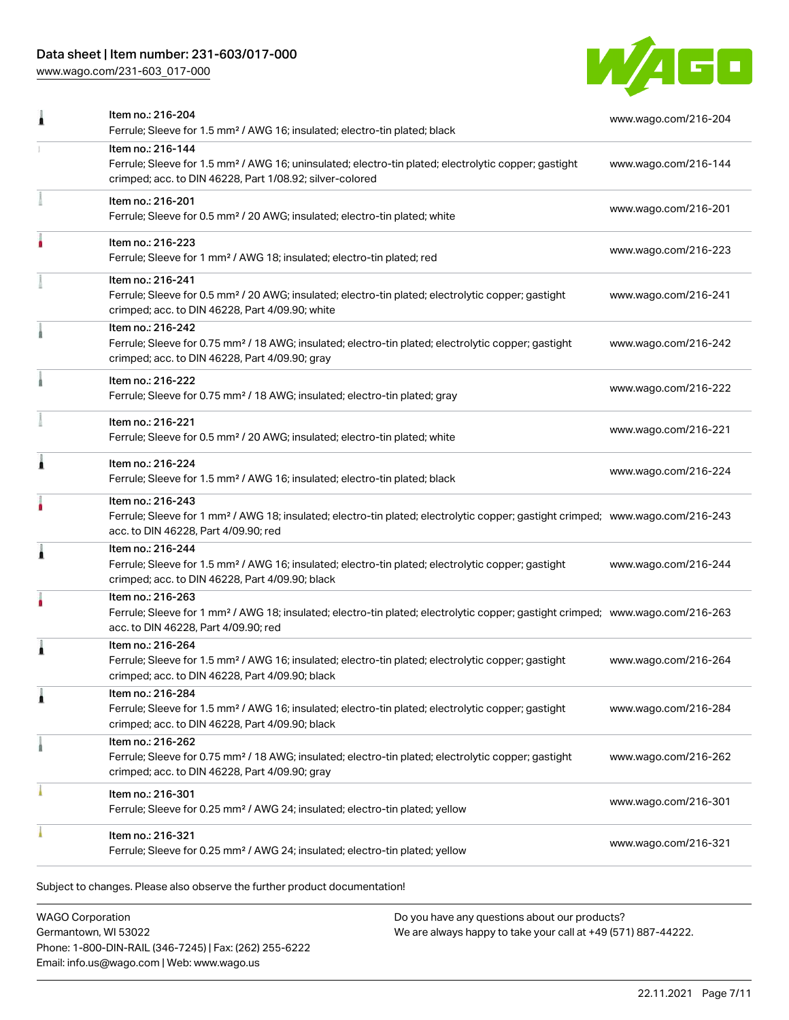# Data sheet | Item number: 231-603/017-000

[www.wago.com/231-603\\_017-000](http://www.wago.com/231-603_017-000)



|   | Ferrule; Sleeve for 1.5 mm <sup>2</sup> / AWG 16; insulated; electro-tin plated; black                                                                                                                  | www.wago.com/216-204 |
|---|---------------------------------------------------------------------------------------------------------------------------------------------------------------------------------------------------------|----------------------|
|   | Item no.: 216-144<br>Ferrule; Sleeve for 1.5 mm <sup>2</sup> / AWG 16; uninsulated; electro-tin plated; electrolytic copper; gastight<br>crimped; acc. to DIN 46228, Part 1/08.92; silver-colored       | www.wago.com/216-144 |
|   | Item no.: 216-201<br>Ferrule; Sleeve for 0.5 mm <sup>2</sup> / 20 AWG; insulated; electro-tin plated; white                                                                                             | www.wago.com/216-201 |
|   | Item no.: 216-223<br>Ferrule; Sleeve for 1 mm <sup>2</sup> / AWG 18; insulated; electro-tin plated; red                                                                                                 | www.wago.com/216-223 |
|   | Item no.: 216-241<br>Ferrule; Sleeve for 0.5 mm <sup>2</sup> / 20 AWG; insulated; electro-tin plated; electrolytic copper; gastight<br>crimped; acc. to DIN 46228, Part 4/09.90; white                  | www.wago.com/216-241 |
|   | Item no.: 216-242<br>Ferrule; Sleeve for 0.75 mm <sup>2</sup> / 18 AWG; insulated; electro-tin plated; electrolytic copper; gastight<br>crimped; acc. to DIN 46228, Part 4/09.90; gray                  | www.wago.com/216-242 |
|   | Item no.: 216-222<br>Ferrule; Sleeve for 0.75 mm <sup>2</sup> / 18 AWG; insulated; electro-tin plated; gray                                                                                             | www.wago.com/216-222 |
|   | Item no.: 216-221<br>Ferrule; Sleeve for 0.5 mm <sup>2</sup> / 20 AWG; insulated; electro-tin plated; white                                                                                             | www.wago.com/216-221 |
| Â | Item no.: 216-224<br>Ferrule; Sleeve for 1.5 mm <sup>2</sup> / AWG 16; insulated; electro-tin plated; black                                                                                             | www.wago.com/216-224 |
|   | Item no.: 216-243<br>Ferrule; Sleeve for 1 mm <sup>2</sup> / AWG 18; insulated; electro-tin plated; electrolytic copper; gastight crimped; www.wago.com/216-243<br>acc. to DIN 46228, Part 4/09.90; red |                      |
| j | Item no.: 216-244<br>Ferrule; Sleeve for 1.5 mm <sup>2</sup> / AWG 16; insulated; electro-tin plated; electrolytic copper; gastight<br>crimped; acc. to DIN 46228, Part 4/09.90; black                  | www.wago.com/216-244 |
|   | Item no.: 216-263<br>Ferrule; Sleeve for 1 mm <sup>2</sup> / AWG 18; insulated; electro-tin plated; electrolytic copper; gastight crimped; www.wago.com/216-263<br>acc. to DIN 46228, Part 4/09.90; red |                      |
| Â | Item no.: 216-264<br>Ferrule; Sleeve for 1.5 mm <sup>2</sup> / AWG 16; insulated; electro-tin plated; electrolytic copper; gastight<br>crimped; acc. to DIN 46228, Part 4/09.90; black                  | www.wago.com/216-264 |
|   | Item no.: 216-284<br>Ferrule; Sleeve for 1.5 mm <sup>2</sup> / AWG 16; insulated; electro-tin plated; electrolytic copper; gastight<br>crimped; acc. to DIN 46228, Part 4/09.90; black                  | www.wago.com/216-284 |
|   | Item no.: 216-262<br>Ferrule; Sleeve for 0.75 mm <sup>2</sup> / 18 AWG; insulated; electro-tin plated; electrolytic copper; gastight<br>crimped; acc. to DIN 46228, Part 4/09.90; gray                  | www.wago.com/216-262 |
|   | Item no.: 216-301<br>Ferrule; Sleeve for 0.25 mm <sup>2</sup> / AWG 24; insulated; electro-tin plated; yellow                                                                                           | www.wago.com/216-301 |
|   | Item no.: 216-321<br>Ferrule; Sleeve for 0.25 mm <sup>2</sup> / AWG 24; insulated; electro-tin plated; yellow                                                                                           | www.wago.com/216-321 |
|   |                                                                                                                                                                                                         |                      |

Subject to changes. Please also observe the further product documentation!

WAGO Corporation Germantown, WI 53022 Phone: 1-800-DIN-RAIL (346-7245) | Fax: (262) 255-6222 Email: info.us@wago.com | Web: www.wago.us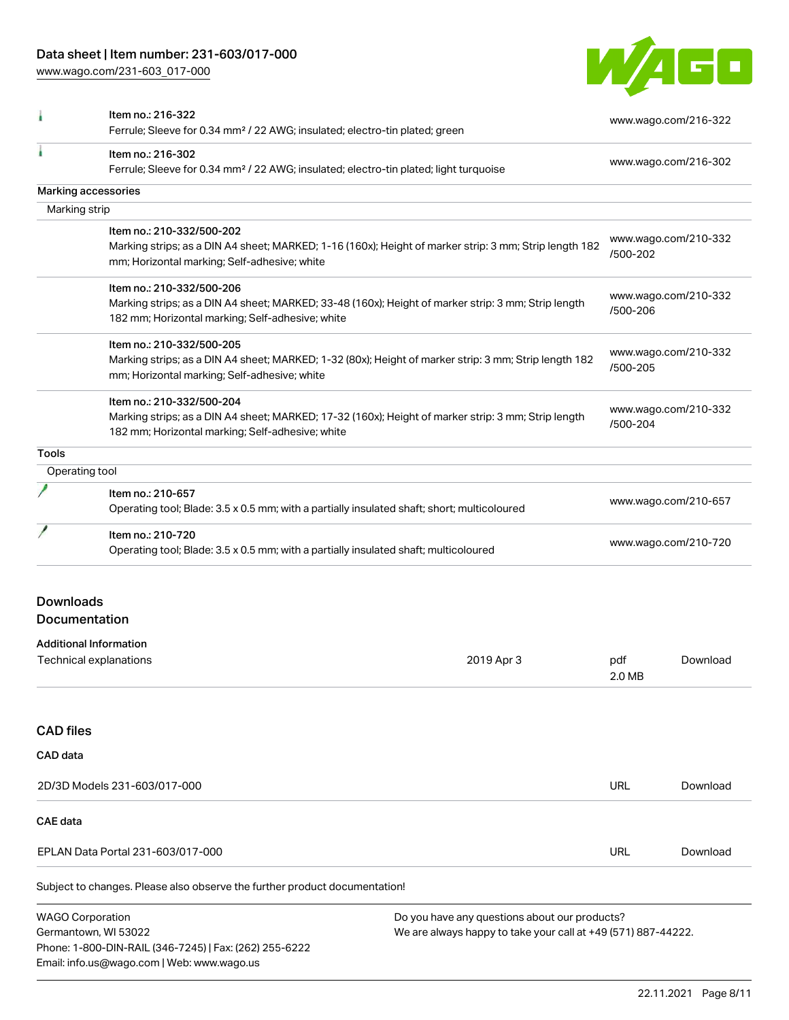[www.wago.com/231-603\\_017-000](http://www.wago.com/231-603_017-000)



|                         | Item no.: 216-322<br>Ferrule; Sleeve for 0.34 mm <sup>2</sup> / 22 AWG; insulated; electro-tin plated; green                                                                         |                                                                                                                |                      | www.wago.com/216-322 |
|-------------------------|--------------------------------------------------------------------------------------------------------------------------------------------------------------------------------------|----------------------------------------------------------------------------------------------------------------|----------------------|----------------------|
|                         | Item no.: 216-302<br>Ferrule; Sleeve for 0.34 mm <sup>2</sup> / 22 AWG; insulated; electro-tin plated; light turquoise                                                               |                                                                                                                | www.wago.com/216-302 |                      |
|                         | Marking accessories                                                                                                                                                                  |                                                                                                                |                      |                      |
| Marking strip           |                                                                                                                                                                                      |                                                                                                                |                      |                      |
|                         | Item no.: 210-332/500-202<br>Marking strips; as a DIN A4 sheet; MARKED; 1-16 (160x); Height of marker strip: 3 mm; Strip length 182<br>mm; Horizontal marking; Self-adhesive; white  |                                                                                                                | /500-202             | www.wago.com/210-332 |
|                         | Item no.: 210-332/500-206<br>Marking strips; as a DIN A4 sheet; MARKED; 33-48 (160x); Height of marker strip: 3 mm; Strip length<br>182 mm; Horizontal marking; Self-adhesive; white |                                                                                                                | /500-206             | www.wago.com/210-332 |
|                         | Item no.: 210-332/500-205<br>Marking strips; as a DIN A4 sheet; MARKED; 1-32 (80x); Height of marker strip: 3 mm; Strip length 182<br>mm; Horizontal marking; Self-adhesive; white   |                                                                                                                | /500-205             | www.wago.com/210-332 |
|                         | Item no.: 210-332/500-204<br>Marking strips; as a DIN A4 sheet; MARKED; 17-32 (160x); Height of marker strip: 3 mm; Strip length<br>182 mm; Horizontal marking; Self-adhesive; white |                                                                                                                | /500-204             | www.wago.com/210-332 |
| <b>Tools</b>            |                                                                                                                                                                                      |                                                                                                                |                      |                      |
| Operating tool          |                                                                                                                                                                                      |                                                                                                                |                      |                      |
|                         | Item no.: 210-657<br>Operating tool; Blade: 3.5 x 0.5 mm; with a partially insulated shaft; short; multicoloured                                                                     |                                                                                                                | www.wago.com/210-657 |                      |
|                         | Item no.: 210-720<br>Operating tool; Blade: 3.5 x 0.5 mm; with a partially insulated shaft; multicoloured                                                                            |                                                                                                                | www.wago.com/210-720 |                      |
| <b>Downloads</b>        |                                                                                                                                                                                      |                                                                                                                |                      |                      |
| Documentation           |                                                                                                                                                                                      |                                                                                                                |                      |                      |
|                         | <b>Additional Information</b>                                                                                                                                                        |                                                                                                                |                      |                      |
|                         | Technical explanations                                                                                                                                                               | 2019 Apr 3                                                                                                     | pdf<br>2.0 MB        | Download             |
| <b>CAD files</b>        |                                                                                                                                                                                      |                                                                                                                |                      |                      |
| CAD data                |                                                                                                                                                                                      |                                                                                                                |                      |                      |
|                         | 2D/3D Models 231-603/017-000                                                                                                                                                         |                                                                                                                | URL                  | Download             |
| CAE data                |                                                                                                                                                                                      |                                                                                                                |                      |                      |
|                         | EPLAN Data Portal 231-603/017-000                                                                                                                                                    |                                                                                                                | <b>URL</b>           | Download             |
|                         | Subject to changes. Please also observe the further product documentation!                                                                                                           |                                                                                                                |                      |                      |
| <b>WAGO Corporation</b> | Germantown, WI 53022<br>Phone: 1-800-DIN-RAIL (346-7245)   Fax: (262) 255-6222<br>Email: info.us@wago.com   Web: www.wago.us                                                         | Do you have any questions about our products?<br>We are always happy to take your call at +49 (571) 887-44222. |                      |                      |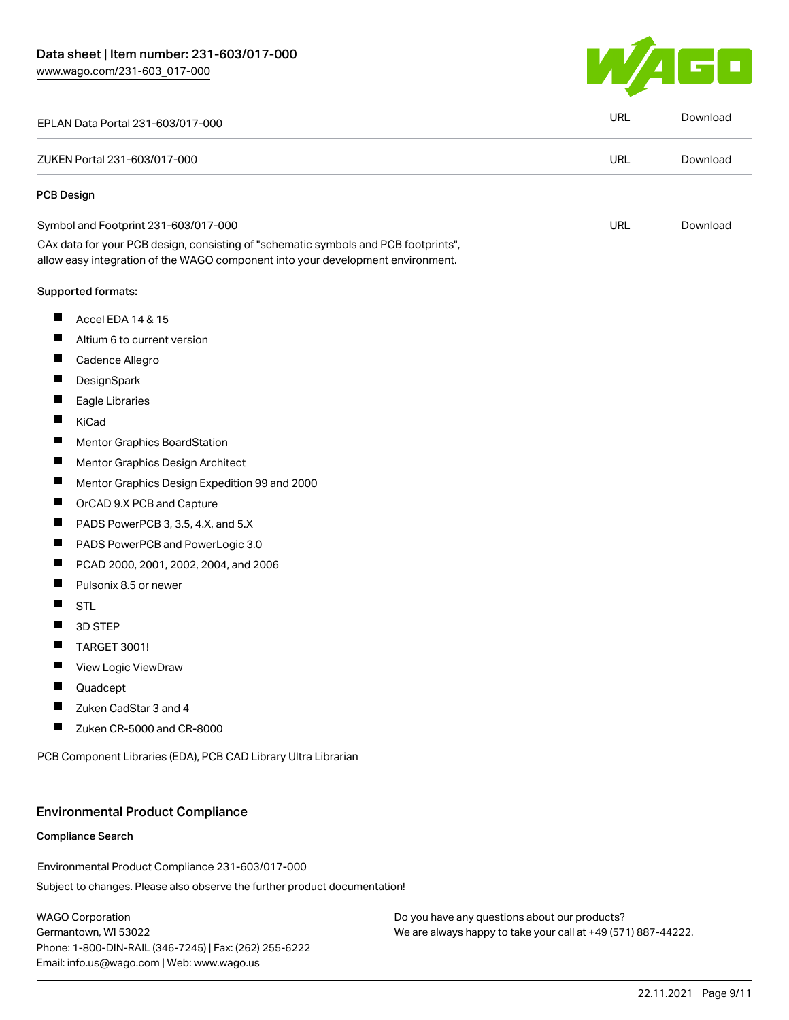

| EPLAN Data Portal 231-603/017-000                                                                                                                                      | <b>URL</b> | Download |
|------------------------------------------------------------------------------------------------------------------------------------------------------------------------|------------|----------|
| ZUKEN Portal 231-603/017-000                                                                                                                                           | <b>URL</b> | Download |
| <b>PCB Design</b>                                                                                                                                                      |            |          |
| Symbol and Footprint 231-603/017-000                                                                                                                                   | URL        | Download |
| CAx data for your PCB design, consisting of "schematic symbols and PCB footprints",<br>allow easy integration of the WAGO component into your development environment. |            |          |
| Supported formats:                                                                                                                                                     |            |          |
| ш<br>Accel EDA 14 & 15                                                                                                                                                 |            |          |
| ш<br>Altium 6 to current version                                                                                                                                       |            |          |
| ш<br>Cadence Allegro                                                                                                                                                   |            |          |
| ш<br>DesignSpark                                                                                                                                                       |            |          |
| ш<br>Eagle Libraries                                                                                                                                                   |            |          |
| ш<br>KiCad                                                                                                                                                             |            |          |
| ш<br>Mentor Graphics BoardStation                                                                                                                                      |            |          |
| ш<br>Mentor Graphics Design Architect                                                                                                                                  |            |          |
| ш<br>Mentor Graphics Design Expedition 99 and 2000                                                                                                                     |            |          |
| OrCAD 9.X PCB and Capture                                                                                                                                              |            |          |
| ш<br>PADS PowerPCB 3, 3.5, 4.X, and 5.X                                                                                                                                |            |          |
| ш<br>PADS PowerPCB and PowerLogic 3.0                                                                                                                                  |            |          |
| PCAD 2000, 2001, 2002, 2004, and 2006                                                                                                                                  |            |          |
| ш<br>Pulsonix 8.5 or newer                                                                                                                                             |            |          |
| ш<br><b>STL</b>                                                                                                                                                        |            |          |
| 3D STEP                                                                                                                                                                |            |          |
| TARGET 3001!<br>ш                                                                                                                                                      |            |          |
| View Logic ViewDraw<br>H.                                                                                                                                              |            |          |
| Quadcept                                                                                                                                                               |            |          |
| Zuken CadStar 3 and 4                                                                                                                                                  |            |          |
| Zuken CR-5000 and CR-8000<br>H                                                                                                                                         |            |          |
| PCB Component Libraries (EDA), PCB CAD Library Ultra Librarian                                                                                                         |            |          |
|                                                                                                                                                                        |            |          |

#### Environmental Product Compliance

#### Compliance Search

Environmental Product Compliance 231-603/017-000

Subject to changes. Please also observe the further product documentation!

WAGO Corporation Germantown, WI 53022 Phone: 1-800-DIN-RAIL (346-7245) | Fax: (262) 255-6222 Email: info.us@wago.com | Web: www.wago.us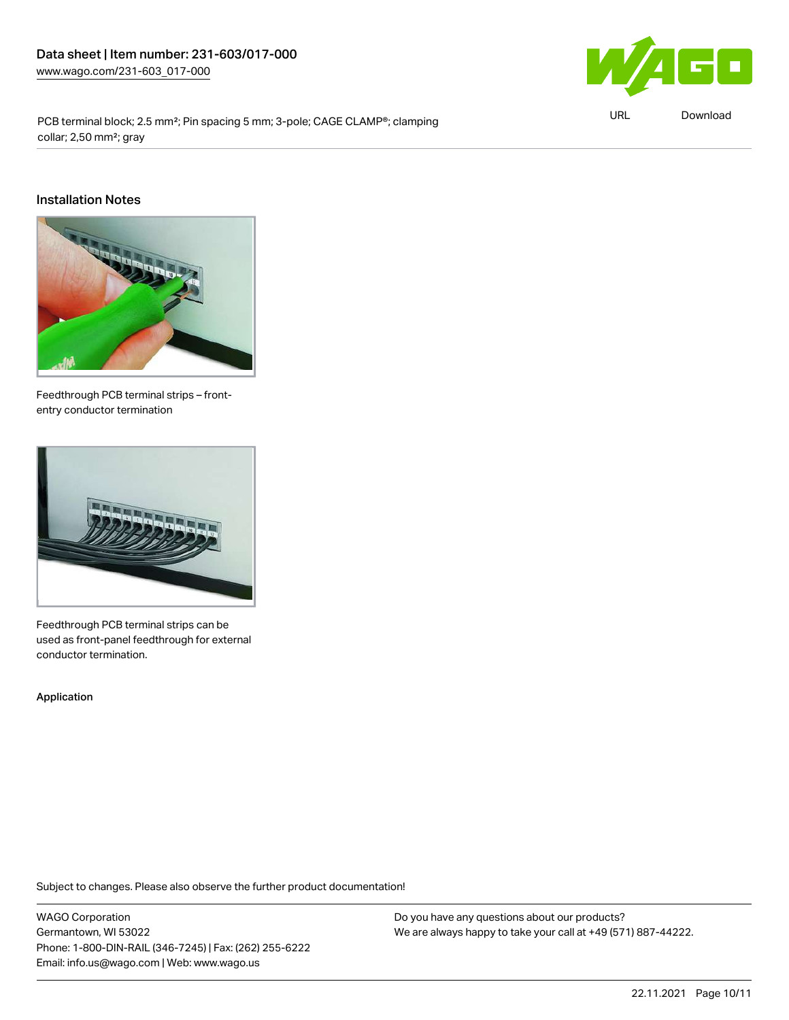

PCB terminal block; 2.5 mm<sup>2</sup>; Pin spacing 5 mm; 3-pole; CAGE CLAMP®; clamping collar; 2,50 mm²; gray

URL [Download](https://www.wago.com/global/d/ComplianceLinkMediaContainer_231-603_017-000)

#### Installation Notes



Feedthrough PCB terminal strips – frontentry conductor termination



Feedthrough PCB terminal strips can be used as front-panel feedthrough for external conductor termination.

Application

Subject to changes. Please also observe the further product documentation!

WAGO Corporation Germantown, WI 53022 Phone: 1-800-DIN-RAIL (346-7245) | Fax: (262) 255-6222 Email: info.us@wago.com | Web: www.wago.us